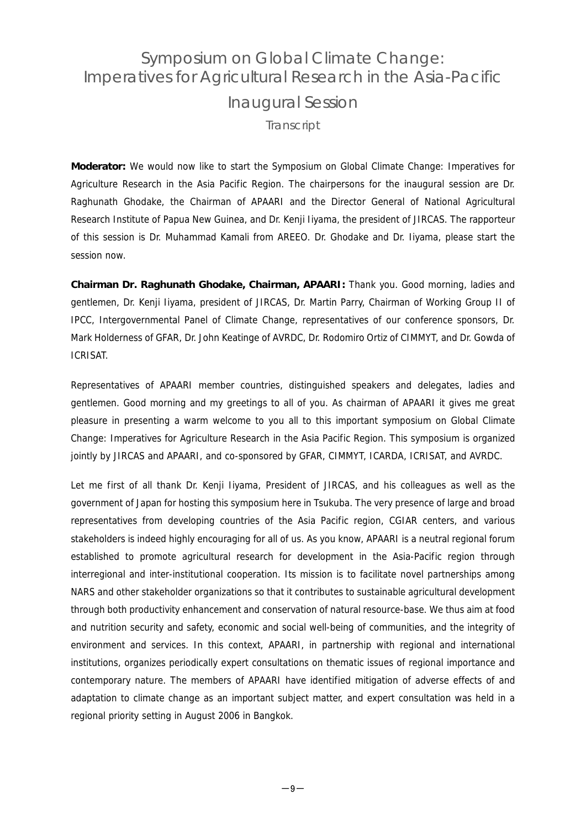## Symposium on Global Climate Change: Imperatives for Agricultural Research in the Asia-Pacific Inaugural Session **Transcript**

**Moderator:** We would now like to start the Symposium on Global Climate Change: Imperatives for Agriculture Research in the Asia Pacific Region. The chairpersons for the inaugural session are Dr. Raghunath Ghodake, the Chairman of APAARI and the Director General of National Agricultural Research Institute of Papua New Guinea, and Dr. Kenji Iiyama, the president of JIRCAS. The rapporteur of this session is Dr. Muhammad Kamali from AREEO. Dr. Ghodake and Dr. Iiyama, please start the session now.

**Chairman Dr. Raghunath Ghodake, Chairman, APAARI:** Thank you. Good morning, ladies and gentlemen, Dr. Kenji Iiyama, president of JIRCAS, Dr. Martin Parry, Chairman of Working Group II of IPCC, Intergovernmental Panel of Climate Change, representatives of our conference sponsors, Dr. Mark Holderness of GFAR, Dr. John Keatinge of AVRDC, Dr. Rodomiro Ortiz of CIMMYT, and Dr. Gowda of ICRISAT.

Representatives of APAARI member countries, distinguished speakers and delegates, ladies and gentlemen. Good morning and my greetings to all of you. As chairman of APAARI it gives me great pleasure in presenting a warm welcome to you all to this important symposium on Global Climate Change: Imperatives for Agriculture Research in the Asia Pacific Region. This symposium is organized jointly by JIRCAS and APAARI, and co-sponsored by GFAR, CIMMYT, ICARDA, ICRISAT, and AVRDC.

Let me first of all thank Dr. Kenji Iiyama, President of JIRCAS, and his colleagues as well as the government of Japan for hosting this symposium here in Tsukuba. The very presence of large and broad representatives from developing countries of the Asia Pacific region, CGIAR centers, and various stakeholders is indeed highly encouraging for all of us. As you know, APAARI is a neutral regional forum established to promote agricultural research for development in the Asia-Pacific region through interregional and inter-institutional cooperation. Its mission is to facilitate novel partnerships among NARS and other stakeholder organizations so that it contributes to sustainable agricultural development through both productivity enhancement and conservation of natural resource-base. We thus aim at food and nutrition security and safety, economic and social well-being of communities, and the integrity of environment and services. In this context, APAARI, in partnership with regional and international institutions, organizes periodically expert consultations on thematic issues of regional importance and contemporary nature. The members of APAARI have identified mitigation of adverse effects of and adaptation to climate change as an important subject matter, and expert consultation was held in a regional priority setting in August 2006 in Bangkok.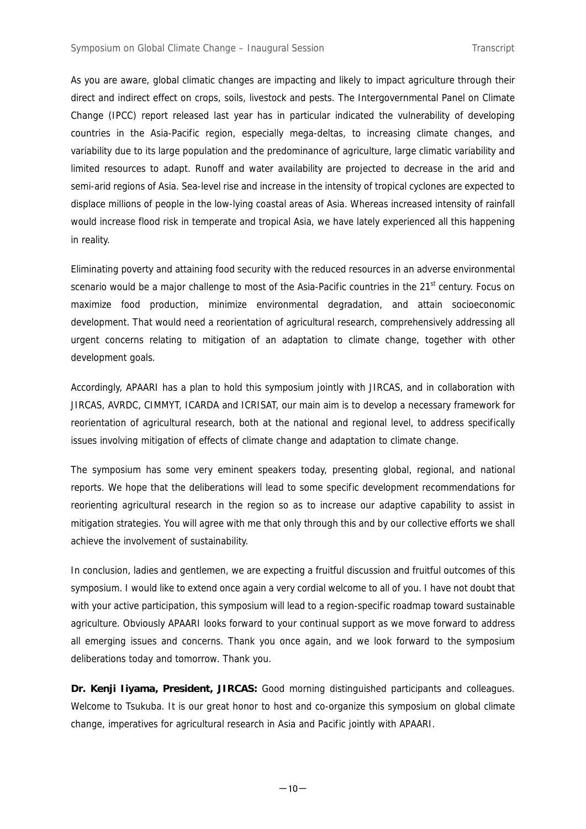As you are aware, global climatic changes are impacting and likely to impact agriculture through their direct and indirect effect on crops, soils, livestock and pests. The Intergovernmental Panel on Climate Change (IPCC) report released last year has in particular indicated the vulnerability of developing countries in the Asia-Pacific region, especially mega-deltas, to increasing climate changes, and variability due to its large population and the predominance of agriculture, large climatic variability and limited resources to adapt. Runoff and water availability are projected to decrease in the arid and semi-arid regions of Asia. Sea-level rise and increase in the intensity of tropical cyclones are expected to displace millions of people in the low-lying coastal areas of Asia. Whereas increased intensity of rainfall would increase flood risk in temperate and tropical Asia, we have lately experienced all this happening in reality.

Eliminating poverty and attaining food security with the reduced resources in an adverse environmental scenario would be a major challenge to most of the Asia-Pacific countries in the 21<sup>st</sup> century. Focus on maximize food production, minimize environmental degradation, and attain socioeconomic development. That would need a reorientation of agricultural research, comprehensively addressing all urgent concerns relating to mitigation of an adaptation to climate change, together with other development goals.

Accordingly, APAARI has a plan to hold this symposium jointly with JIRCAS, and in collaboration with JIRCAS, AVRDC, CIMMYT, ICARDA and ICRISAT, our main aim is to develop a necessary framework for reorientation of agricultural research, both at the national and regional level, to address specifically issues involving mitigation of effects of climate change and adaptation to climate change.

The symposium has some very eminent speakers today, presenting global, regional, and national reports. We hope that the deliberations will lead to some specific development recommendations for reorienting agricultural research in the region so as to increase our adaptive capability to assist in mitigation strategies. You will agree with me that only through this and by our collective efforts we shall achieve the involvement of sustainability.

In conclusion, ladies and gentlemen, we are expecting a fruitful discussion and fruitful outcomes of this symposium. I would like to extend once again a very cordial welcome to all of you. I have not doubt that with your active participation, this symposium will lead to a region-specific roadmap toward sustainable agriculture. Obviously APAARI looks forward to your continual support as we move forward to address all emerging issues and concerns. Thank you once again, and we look forward to the symposium deliberations today and tomorrow. Thank you.

**Dr. Kenji Iiyama, President, JIRCAS:** Good morning distinguished participants and colleagues. Welcome to Tsukuba. It is our great honor to host and co-organize this symposium on global climate change, imperatives for agricultural research in Asia and Pacific jointly with APAARI.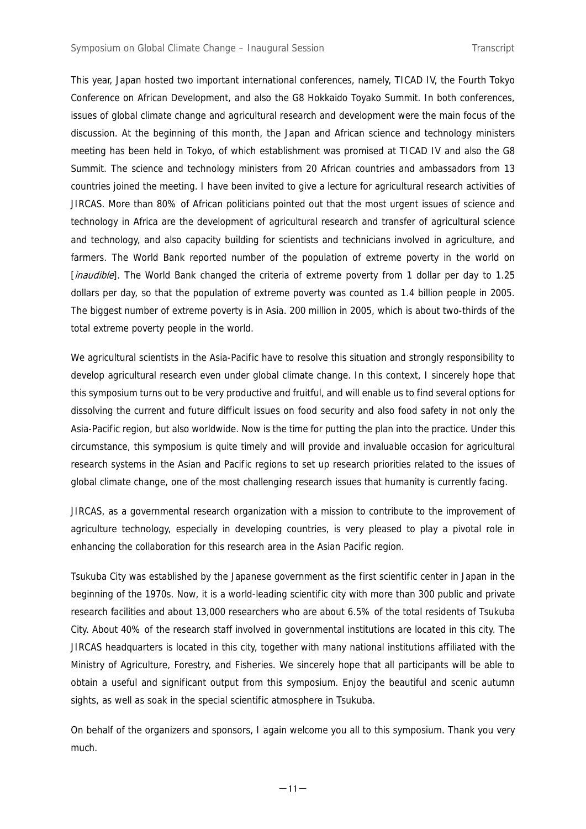This year, Japan hosted two important international conferences, namely, TICAD IV, the Fourth Tokyo Conference on African Development, and also the G8 Hokkaido Toyako Summit. In both conferences, issues of global climate change and agricultural research and development were the main focus of the discussion. At the beginning of this month, the Japan and African science and technology ministers meeting has been held in Tokyo, of which establishment was promised at TICAD IV and also the G8 Summit. The science and technology ministers from 20 African countries and ambassadors from 13 countries joined the meeting. I have been invited to give a lecture for agricultural research activities of JIRCAS. More than 80% of African politicians pointed out that the most urgent issues of science and technology in Africa are the development of agricultural research and transfer of agricultural science and technology, and also capacity building for scientists and technicians involved in agriculture, and farmers. The World Bank reported number of the population of extreme poverty in the world on [*inaudible*]. The World Bank changed the criteria of extreme poverty from 1 dollar per day to 1.25 dollars per day, so that the population of extreme poverty was counted as 1.4 billion people in 2005. The biggest number of extreme poverty is in Asia. 200 million in 2005, which is about two-thirds of the total extreme poverty people in the world.

We agricultural scientists in the Asia-Pacific have to resolve this situation and strongly responsibility to develop agricultural research even under global climate change. In this context, I sincerely hope that this symposium turns out to be very productive and fruitful, and will enable us to find several options for dissolving the current and future difficult issues on food security and also food safety in not only the Asia-Pacific region, but also worldwide. Now is the time for putting the plan into the practice. Under this circumstance, this symposium is quite timely and will provide and invaluable occasion for agricultural research systems in the Asian and Pacific regions to set up research priorities related to the issues of global climate change, one of the most challenging research issues that humanity is currently facing.

JIRCAS, as a governmental research organization with a mission to contribute to the improvement of agriculture technology, especially in developing countries, is very pleased to play a pivotal role in enhancing the collaboration for this research area in the Asian Pacific region.

Tsukuba City was established by the Japanese government as the first scientific center in Japan in the beginning of the 1970s. Now, it is a world-leading scientific city with more than 300 public and private research facilities and about 13,000 researchers who are about 6.5% of the total residents of Tsukuba City. About 40% of the research staff involved in governmental institutions are located in this city. The JIRCAS headquarters is located in this city, together with many national institutions affiliated with the Ministry of Agriculture, Forestry, and Fisheries. We sincerely hope that all participants will be able to obtain a useful and significant output from this symposium. Enjoy the beautiful and scenic autumn sights, as well as soak in the special scientific atmosphere in Tsukuba.

On behalf of the organizers and sponsors, I again welcome you all to this symposium. Thank you very much.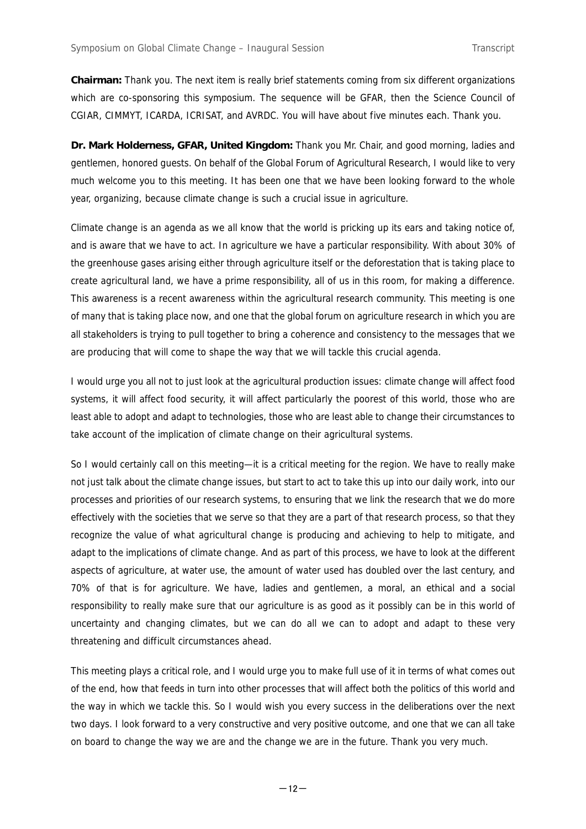**Chairman:** Thank you. The next item is really brief statements coming from six different organizations which are co-sponsoring this symposium. The sequence will be GFAR, then the Science Council of CGIAR, CIMMYT, ICARDA, ICRISAT, and AVRDC. You will have about five minutes each. Thank you.

**Dr. Mark Holderness, GFAR, United Kingdom:** Thank you Mr. Chair, and good morning, ladies and gentlemen, honored guests. On behalf of the Global Forum of Agricultural Research, I would like to very much welcome you to this meeting. It has been one that we have been looking forward to the whole year, organizing, because climate change is such a crucial issue in agriculture.

Climate change is an agenda as we all know that the world is pricking up its ears and taking notice of, and is aware that we have to act. In agriculture we have a particular responsibility. With about 30% of the greenhouse gases arising either through agriculture itself or the deforestation that is taking place to create agricultural land, we have a prime responsibility, all of us in this room, for making a difference. This awareness is a recent awareness within the agricultural research community. This meeting is one of many that is taking place now, and one that the global forum on agriculture research in which you are all stakeholders is trying to pull together to bring a coherence and consistency to the messages that we are producing that will come to shape the way that we will tackle this crucial agenda.

I would urge you all not to just look at the agricultural production issues: climate change will affect food systems, it will affect food security, it will affect particularly the poorest of this world, those who are least able to adopt and adapt to technologies, those who are least able to change their circumstances to take account of the implication of climate change on their agricultural systems.

So I would certainly call on this meeting—it is a critical meeting for the region. We have to really make not just talk about the climate change issues, but start to act to take this up into our daily work, into our processes and priorities of our research systems, to ensuring that we link the research that we do more effectively with the societies that we serve so that they are a part of that research process, so that they recognize the value of what agricultural change is producing and achieving to help to mitigate, and adapt to the implications of climate change. And as part of this process, we have to look at the different aspects of agriculture, at water use, the amount of water used has doubled over the last century, and 70% of that is for agriculture. We have, ladies and gentlemen, a moral, an ethical and a social responsibility to really make sure that our agriculture is as good as it possibly can be in this world of uncertainty and changing climates, but we can do all we can to adopt and adapt to these very threatening and difficult circumstances ahead.

This meeting plays a critical role, and I would urge you to make full use of it in terms of what comes out of the end, how that feeds in turn into other processes that will affect both the politics of this world and the way in which we tackle this. So I would wish you every success in the deliberations over the next two days. I look forward to a very constructive and very positive outcome, and one that we can all take on board to change the way we are and the change we are in the future. Thank you very much.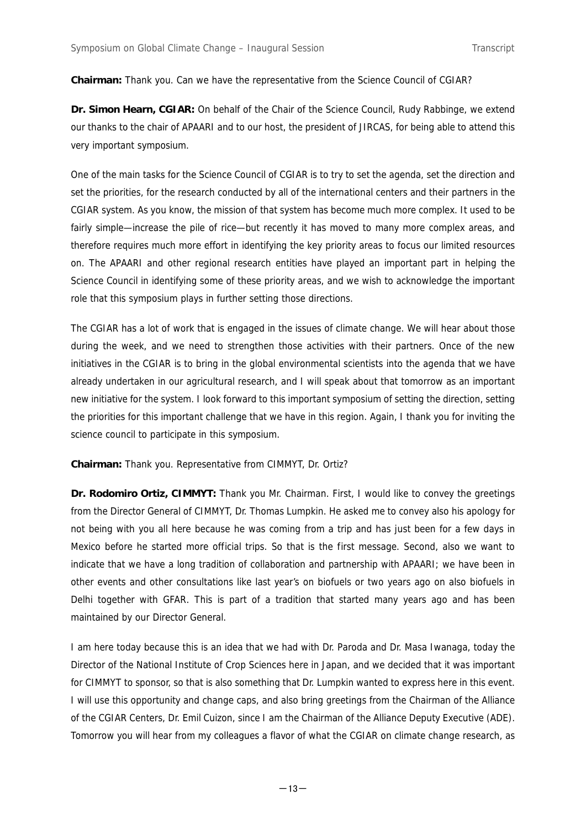**Chairman:** Thank you. Can we have the representative from the Science Council of CGIAR?

**Dr. Simon Hearn, CGIAR:** On behalf of the Chair of the Science Council, Rudy Rabbinge, we extend our thanks to the chair of APAARI and to our host, the president of JIRCAS, for being able to attend this very important symposium.

One of the main tasks for the Science Council of CGIAR is to try to set the agenda, set the direction and set the priorities, for the research conducted by all of the international centers and their partners in the CGIAR system. As you know, the mission of that system has become much more complex. It used to be fairly simple—increase the pile of rice—but recently it has moved to many more complex areas, and therefore requires much more effort in identifying the key priority areas to focus our limited resources on. The APAARI and other regional research entities have played an important part in helping the Science Council in identifying some of these priority areas, and we wish to acknowledge the important role that this symposium plays in further setting those directions.

The CGIAR has a lot of work that is engaged in the issues of climate change. We will hear about those during the week, and we need to strengthen those activities with their partners. Once of the new initiatives in the CGIAR is to bring in the global environmental scientists into the agenda that we have already undertaken in our agricultural research, and I will speak about that tomorrow as an important new initiative for the system. I look forward to this important symposium of setting the direction, setting the priorities for this important challenge that we have in this region. Again, I thank you for inviting the science council to participate in this symposium.

**Chairman:** Thank you. Representative from CIMMYT, Dr. Ortiz?

**Dr. Rodomiro Ortiz, CIMMYT:** Thank you Mr. Chairman. First, I would like to convey the greetings from the Director General of CIMMYT, Dr. Thomas Lumpkin. He asked me to convey also his apology for not being with you all here because he was coming from a trip and has just been for a few days in Mexico before he started more official trips. So that is the first message. Second, also we want to indicate that we have a long tradition of collaboration and partnership with APAARI; we have been in other events and other consultations like last year's on biofuels or two years ago on also biofuels in Delhi together with GFAR. This is part of a tradition that started many years ago and has been maintained by our Director General.

I am here today because this is an idea that we had with Dr. Paroda and Dr. Masa Iwanaga, today the Director of the National Institute of Crop Sciences here in Japan, and we decided that it was important for CIMMYT to sponsor, so that is also something that Dr. Lumpkin wanted to express here in this event. I will use this opportunity and change caps, and also bring greetings from the Chairman of the Alliance of the CGIAR Centers, Dr. Emil Cuizon, since I am the Chairman of the Alliance Deputy Executive (ADE). Tomorrow you will hear from my colleagues a flavor of what the CGIAR on climate change research, as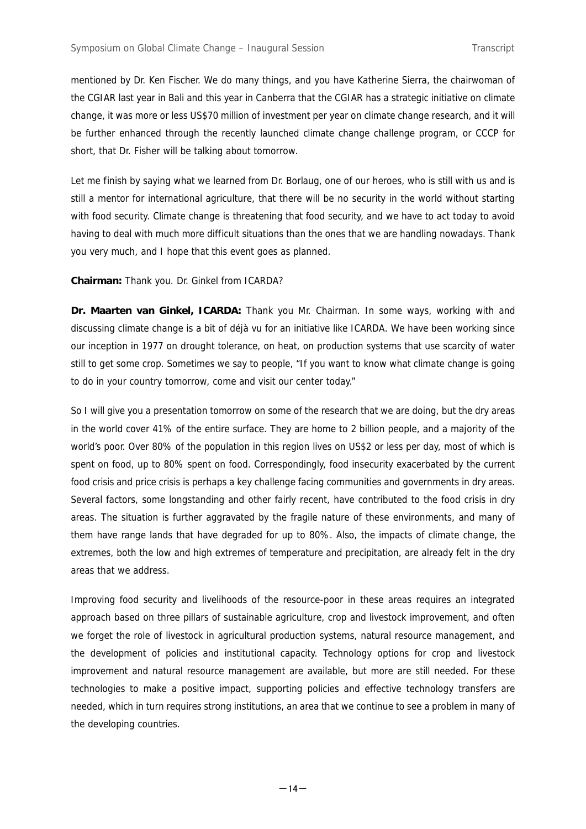mentioned by Dr. Ken Fischer. We do many things, and you have Katherine Sierra, the chairwoman of the CGIAR last year in Bali and this year in Canberra that the CGIAR has a strategic initiative on climate change, it was more or less US\$70 million of investment per year on climate change research, and it will be further enhanced through the recently launched climate change challenge program, or CCCP for short, that Dr. Fisher will be talking about tomorrow.

Let me finish by saying what we learned from Dr. Borlaug, one of our heroes, who is still with us and is still a mentor for international agriculture, that there will be no security in the world without starting with food security. Climate change is threatening that food security, and we have to act today to avoid having to deal with much more difficult situations than the ones that we are handling nowadays. Thank you very much, and I hope that this event goes as planned.

## **Chairman:** Thank you. Dr. Ginkel from ICARDA?

**Dr. Maarten van Ginkel, ICARDA:** Thank you Mr. Chairman. In some ways, working with and discussing climate change is a bit of déjà vu for an initiative like ICARDA. We have been working since our inception in 1977 on drought tolerance, on heat, on production systems that use scarcity of water still to get some crop. Sometimes we say to people, "If you want to know what climate change is going to do in your country tomorrow, come and visit our center today."

So I will give you a presentation tomorrow on some of the research that we are doing, but the dry areas in the world cover 41% of the entire surface. They are home to 2 billion people, and a majority of the world's poor. Over 80% of the population in this region lives on US\$2 or less per day, most of which is spent on food, up to 80% spent on food. Correspondingly, food insecurity exacerbated by the current food crisis and price crisis is perhaps a key challenge facing communities and governments in dry areas. Several factors, some longstanding and other fairly recent, have contributed to the food crisis in dry areas. The situation is further aggravated by the fragile nature of these environments, and many of them have range lands that have degraded for up to 80%. Also, the impacts of climate change, the extremes, both the low and high extremes of temperature and precipitation, are already felt in the dry areas that we address.

Improving food security and livelihoods of the resource-poor in these areas requires an integrated approach based on three pillars of sustainable agriculture, crop and livestock improvement, and often we forget the role of livestock in agricultural production systems, natural resource management, and the development of policies and institutional capacity. Technology options for crop and livestock improvement and natural resource management are available, but more are still needed. For these technologies to make a positive impact, supporting policies and effective technology transfers are needed, which in turn requires strong institutions, an area that we continue to see a problem in many of the developing countries.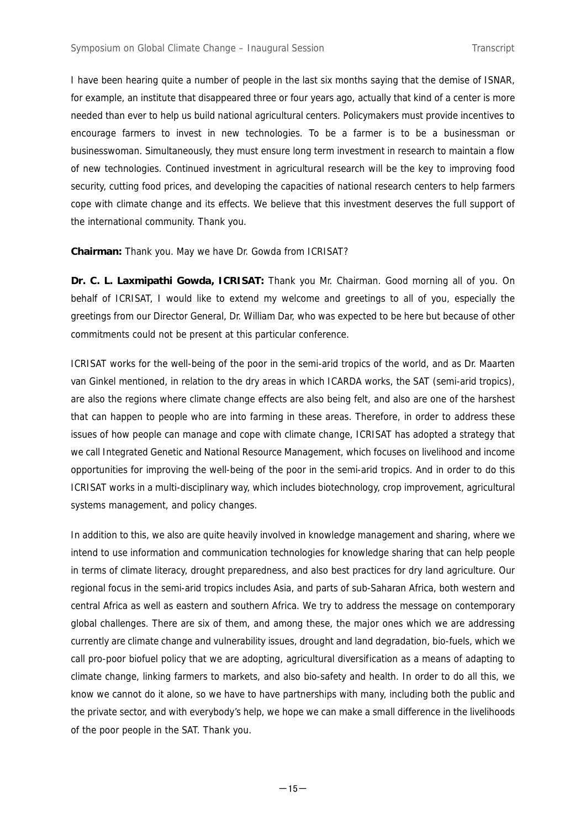I have been hearing quite a number of people in the last six months saying that the demise of ISNAR, for example, an institute that disappeared three or four years ago, actually that kind of a center is more needed than ever to help us build national agricultural centers. Policymakers must provide incentives to encourage farmers to invest in new technologies. To be a farmer is to be a businessman or businesswoman. Simultaneously, they must ensure long term investment in research to maintain a flow of new technologies. Continued investment in agricultural research will be the key to improving food security, cutting food prices, and developing the capacities of national research centers to help farmers cope with climate change and its effects. We believe that this investment deserves the full support of the international community. Thank you.

## **Chairman:** Thank you. May we have Dr. Gowda from ICRISAT?

**Dr. C. L. Laxmipathi Gowda, ICRISAT:** Thank you Mr. Chairman. Good morning all of you. On behalf of ICRISAT, I would like to extend my welcome and greetings to all of you, especially the greetings from our Director General, Dr. William Dar, who was expected to be here but because of other commitments could not be present at this particular conference.

ICRISAT works for the well-being of the poor in the semi-arid tropics of the world, and as Dr. Maarten van Ginkel mentioned, in relation to the dry areas in which ICARDA works, the SAT (semi-arid tropics), are also the regions where climate change effects are also being felt, and also are one of the harshest that can happen to people who are into farming in these areas. Therefore, in order to address these issues of how people can manage and cope with climate change, ICRISAT has adopted a strategy that we call Integrated Genetic and National Resource Management, which focuses on livelihood and income opportunities for improving the well-being of the poor in the semi-arid tropics. And in order to do this ICRISAT works in a multi-disciplinary way, which includes biotechnology, crop improvement, agricultural systems management, and policy changes.

In addition to this, we also are quite heavily involved in knowledge management and sharing, where we intend to use information and communication technologies for knowledge sharing that can help people in terms of climate literacy, drought preparedness, and also best practices for dry land agriculture. Our regional focus in the semi-arid tropics includes Asia, and parts of sub-Saharan Africa, both western and central Africa as well as eastern and southern Africa. We try to address the message on contemporary global challenges. There are six of them, and among these, the major ones which we are addressing currently are climate change and vulnerability issues, drought and land degradation, bio-fuels, which we call pro-poor biofuel policy that we are adopting, agricultural diversification as a means of adapting to climate change, linking farmers to markets, and also bio-safety and health. In order to do all this, we know we cannot do it alone, so we have to have partnerships with many, including both the public and the private sector, and with everybody's help, we hope we can make a small difference in the livelihoods of the poor people in the SAT. Thank you.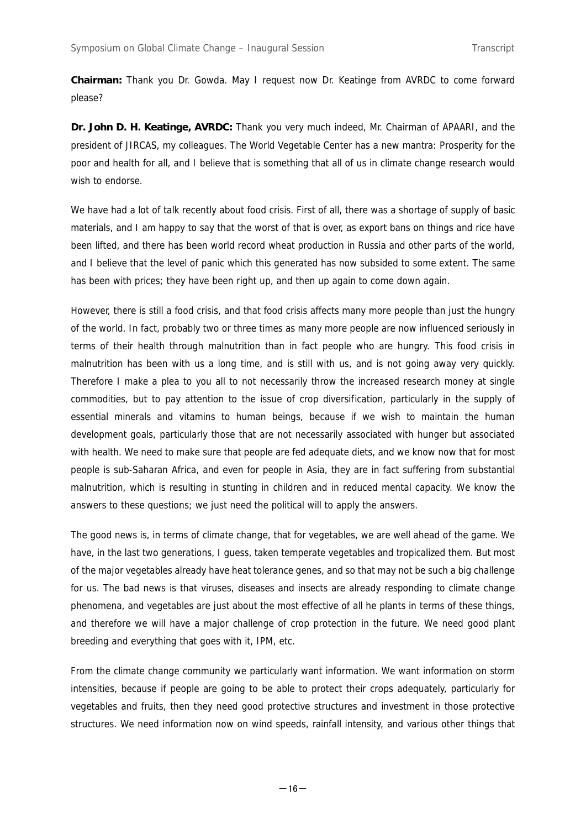**Chairman:** Thank you Dr. Gowda. May I request now Dr. Keatinge from AVRDC to come forward please?

**Dr. John D. H. Keatinge, AVRDC:** Thank you very much indeed, Mr. Chairman of APAARI, and the president of JIRCAS, my colleagues. The World Vegetable Center has a new mantra: Prosperity for the poor and health for all, and I believe that is something that all of us in climate change research would wish to endorse.

We have had a lot of talk recently about food crisis. First of all, there was a shortage of supply of basic materials, and I am happy to say that the worst of that is over, as export bans on things and rice have been lifted, and there has been world record wheat production in Russia and other parts of the world, and I believe that the level of panic which this generated has now subsided to some extent. The same has been with prices; they have been right up, and then up again to come down again.

However, there is still a food crisis, and that food crisis affects many more people than just the hungry of the world. In fact, probably two or three times as many more people are now influenced seriously in terms of their health through malnutrition than in fact people who are hungry. This food crisis in malnutrition has been with us a long time, and is still with us, and is not going away very quickly. Therefore I make a plea to you all to not necessarily throw the increased research money at single commodities, but to pay attention to the issue of crop diversification, particularly in the supply of essential minerals and vitamins to human beings, because if we wish to maintain the human development goals, particularly those that are not necessarily associated with hunger but associated with health. We need to make sure that people are fed adequate diets, and we know now that for most people is sub-Saharan Africa, and even for people in Asia, they are in fact suffering from substantial malnutrition, which is resulting in stunting in children and in reduced mental capacity. We know the answers to these questions; we just need the political will to apply the answers.

The good news is, in terms of climate change, that for vegetables, we are well ahead of the game. We have, in the last two generations, I guess, taken temperate vegetables and tropicalized them. But most of the major vegetables already have heat tolerance genes, and so that may not be such a big challenge for us. The bad news is that viruses, diseases and insects are already responding to climate change phenomena, and vegetables are just about the most effective of all he plants in terms of these things, and therefore we will have a major challenge of crop protection in the future. We need good plant breeding and everything that goes with it, IPM, etc.

From the climate change community we particularly want information. We want information on storm intensities, because if people are going to be able to protect their crops adequately, particularly for vegetables and fruits, then they need good protective structures and investment in those protective structures. We need information now on wind speeds, rainfall intensity, and various other things that